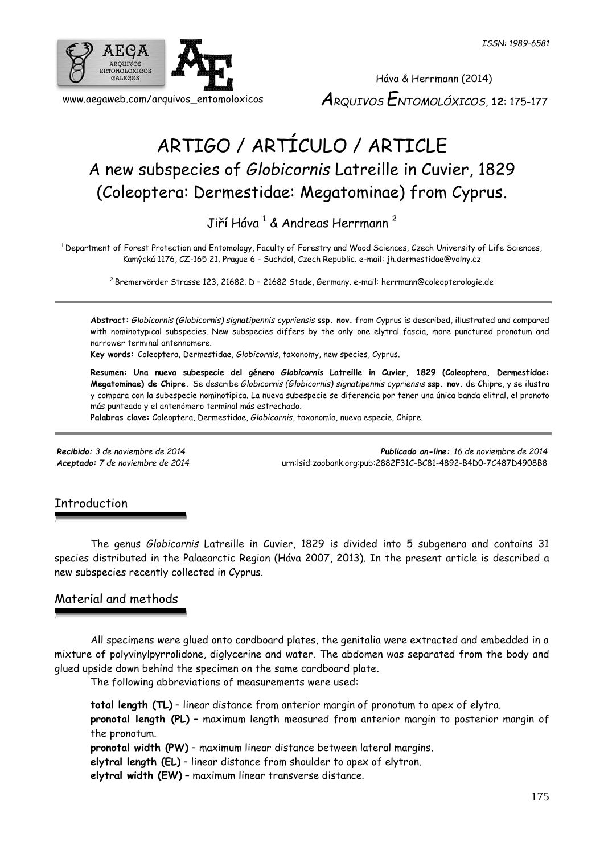

# ARTIGO / ARTÍCULO / ARTICLE A new subspecies of *Globicornis* Latreille in Cuvier, 1829 (Coleoptera: Dermestidae: Megatominae) from Cyprus.

Jiří Háva <sup>1</sup> & Andreas Herrmann <sup>2</sup>

<sup>1</sup> Department of Forest Protection and Entomology, Faculty of Forestry and Wood Sciences, Czech University of Life Sciences, Kamýcká 1176, CZ-165 21, Prague 6 - Suchdol, Czech Republic. e-mail: jh.dermestidae@volny.cz

<sup>2</sup> Bremervörder Strasse 123, 21682. D – 21682 Stade, Germany. e-mail: herrmann@coleopterologie.de

**Abstract:** *Globicornis (Globicornis) signatipennis cypriensis* **ssp. nov.** from Cyprus is described, illustrated and compared with nominotypical subspecies. New subspecies differs by the only one elytral fascia, more punctured pronotum and narrower terminal antennomere.

**Key words:** Coleoptera, Dermestidae, *Globicornis*, taxonomy, new species, Cyprus.

**Resumen: Una nueva subespecie del género** *Globicornis* **Latreille in Cuvier, 1829 (Coleoptera, Dermestidae: Megatominae) de Chipre.** Se describe *Globicornis (Globicornis) signatipennis cypriensis* **ssp. nov.** de Chipre, y se ilustra y compara con la subespecie nominotípica. La nueva subespecie se diferencia por tener una única banda elitral, el pronoto más punteado y el antenómero terminal más estrechado.

**Palabras clave:** Coleoptera, Dermestidae, *Globicornis*, taxonomía, nueva especie, Chipre.

*Recibido: 3 de noviembre de 2014 Publicado on-line: 16 de noviembre de 2014 Aceptado: 7 de noviembre de 2014* [urn:lsid:zoobank.org:pub:2882F31C-BC81-4892-B4D0-7C487D4908B8](http://www.zoobank.org/urn:lsid:zoobank.org:pub:2882F31C-BC81-4892-B4D0-7C487D4908B8)

#### **Introduction**

The genus *Globicornis* Latreille in Cuvier, 1829 is divided into 5 subgenera and contains 31 species distributed in the Palaearctic Region (Háva 2007, 2013). In the present article is described a new subspecies recently collected in Cyprus.

## Material and methods

All specimens were glued onto cardboard plates, the genitalia were extracted and embedded in a mixture of polyvinylpyrrolidone, diglycerine and water. The abdomen was separated from the body and glued upside down behind the specimen on the same cardboard plate.

The following abbreviations of measurements were used:

**total length (TL)** – linear distance from anterior margin of pronotum to apex of elytra. **pronotal length (PL)** – maximum length measured from anterior margin to posterior margin of the pronotum.

**pronotal width (PW)** – maximum linear distance between lateral margins.

**elytral length (EL)** – linear distance from shoulder to apex of elytron.

**elytral width (EW)** – maximum linear transverse distance.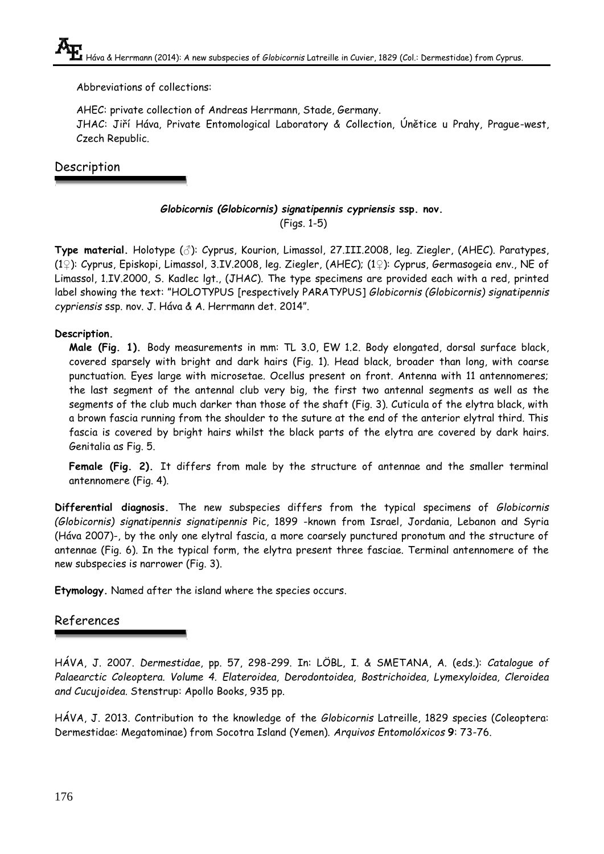Abbreviations of collections:

AHEC: private collection of Andreas Herrmann, Stade, Germany. JHAC: Jiří Háva, Private Entomological Laboratory & Collection, Únětice u Prahy, Prague-west, Czech Republic.

# Description

### *Globicornis (Globicornis) signatipennis cypriensis* **ssp. nov.** (Figs. 1-5)

**Type material.** Holotype (♂): Cyprus, Kourion, Limassol, 27.III.2008, leg. Ziegler, (AHEC). Paratypes, (1♀): Cyprus, Episkopi, Limassol, 3.IV.2008, leg. Ziegler, (AHEC); (1♀): Cyprus, Germasogeia env., NE of Limassol, 1.IV.2000, S. Kadlec lgt., (JHAC). The type specimens are provided each with a red, printed label showing the text: "HOLOTYPUS [respectively PARATYPUS] *Globicornis (Globicornis) signatipennis cypriensis* ssp. nov. J. Háva & A. Herrmann det. 2014".

#### **Description.**

**Male (Fig. 1).** Body measurements in mm: TL 3.0, EW 1.2. Body elongated, dorsal surface black, covered sparsely with bright and dark hairs (Fig. 1). Head black, broader than long, with coarse punctuation. Eyes large with microsetae. Ocellus present on front. Antenna with 11 antennomeres; the last segment of the antennal club very big, the first two antennal segments as well as the segments of the club much darker than those of the shaft (Fig. 3). Cuticula of the elytra black, with a brown fascia running from the shoulder to the suture at the end of the anterior elytral third. This fascia is covered by bright hairs whilst the black parts of the elytra are covered by dark hairs. Genitalia as Fig. 5.

**Female (Fig. 2).** It differs from male by the structure of antennae and the smaller terminal antennomere (Fig. 4).

**Differential diagnosis.** The new subspecies differs from the typical specimens of *Globicornis (Globicornis) signatipennis signatipennis* Pic, 1899 -known from Israel, Jordania, Lebanon and Syria (Háva 2007)-, by the only one elytral fascia, a more coarsely punctured pronotum and the structure of antennae (Fig. 6). In the typical form, the elytra present three fasciae. Terminal antennomere of the new subspecies is narrower (Fig. 3).

**Etymology.** Named after the island where the species occurs.

# References

HÁVA, J. 2007. *Dermestidae*, pp. 57, 298-299. In: LÖBL, I. & SMETANA, A. (eds.): *Catalogue of Palaearctic Coleoptera. Volume 4. Elateroidea, Derodontoidea, Bostrichoidea, Lymexyloidea, Cleroidea and Cucujoidea.* Stenstrup: Apollo Books, 935 pp.

HÁVA, J. 2013. Contribution to the knowledge of the *Globicornis* Latreille, 1829 species (Coleoptera: Dermestidae: Megatominae) from Socotra Island (Yemen). *Arquivos Entomolóxicos* **9**: 73-76.